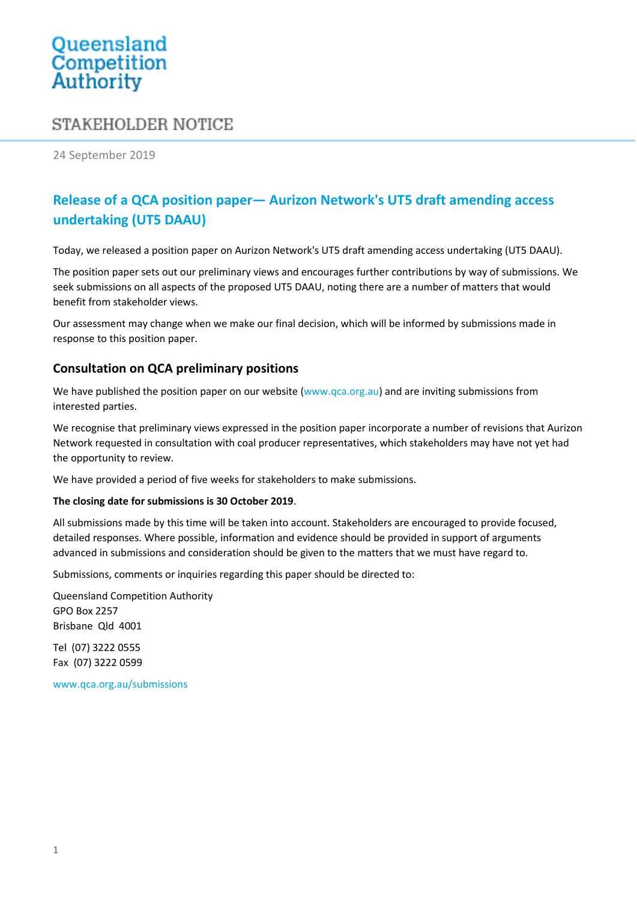# Queensland<br>Competition Authority

# STAKEHOLDER NOTICE

24 September 2019

# **Release of a QCA position paper— Aurizon Network's UT5 draft amending access undertaking (UT5 DAAU)**

Today, we released a position paper on Aurizon Network's UT5 draft amending access undertaking (UT5 DAAU).

The position paper sets out our preliminary views and encourages further contributions by way of submissions. We seek submissions on all aspects of the proposed UT5 DAAU, noting there are a number of matters that would benefit from stakeholder views.

Our assessment may change when we make our final decision, which will be informed by submissions made in response to this position paper.

## **Consultation on QCA preliminary positions**

We have published the position paper on our website [\(www.qca.org.au\)](file:///C:/NRPortbl/Documents/AD/www.qca.org.au) and are inviting submissions from interested parties.

We recognise that preliminary views expressed in the position paper incorporate a number of revisions that Aurizon Network requested in consultation with coal producer representatives, which stakeholders may have not yet had the opportunity to review.

We have provided a period of five weeks for stakeholders to make submissions.

#### **The closing date for submissions is 30 October 2019**.

All submissions made by this time will be taken into account. Stakeholders are encouraged to provide focused, detailed responses. Where possible, information and evidence should be provided in support of arguments advanced in submissions and consideration should be given to the matters that we must have regard to.

Submissions, comments or inquiries regarding this paper should be directed to:

Queensland Competition Authority GPO Box 2257 Brisbane Qld 4001

Tel (07) 3222 0555 Fax (07) 3222 0599

www.qca.org.au/submissions